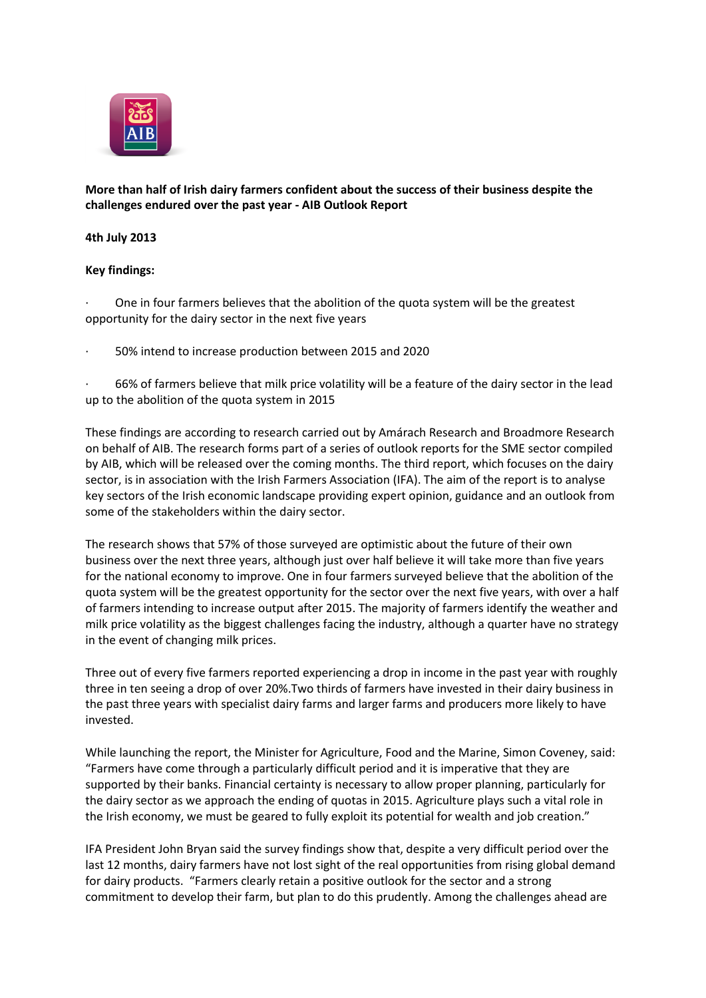

# **More than half of Irish dairy farmers confident about the success of their business despite the challenges endured over the past year - AIB Outlook Report**

## **4th July 2013**

## **Key findings:**

· One in four farmers believes that the abolition of the quota system will be the greatest opportunity for the dairy sector in the next five years

· 50% intend to increase production between 2015 and 2020

· 66% of farmers believe that milk price volatility will be a feature of the dairy sector in the lead up to the abolition of the quota system in 2015

These findings are according to research carried out by Amárach Research and Broadmore Research on behalf of AIB. The research forms part of a series of outlook reports for the SME sector compiled by AIB, which will be released over the coming months. The third report, which focuses on the dairy sector, is in association with the Irish Farmers Association (IFA). The aim of the report is to analyse key sectors of the Irish economic landscape providing expert opinion, guidance and an outlook from some of the stakeholders within the dairy sector.

The research shows that 57% of those surveyed are optimistic about the future of their own business over the next three years, although just over half believe it will take more than five years for the national economy to improve. One in four farmers surveyed believe that the abolition of the quota system will be the greatest opportunity for the sector over the next five years, with over a half of farmers intending to increase output after 2015. The majority of farmers identify the weather and milk price volatility as the biggest challenges facing the industry, although a quarter have no strategy in the event of changing milk prices.

Three out of every five farmers reported experiencing a drop in income in the past year with roughly three in ten seeing a drop of over 20%.Two thirds of farmers have invested in their dairy business in the past three years with specialist dairy farms and larger farms and producers more likely to have invested.

While launching the report, the Minister for Agriculture, Food and the Marine, Simon Coveney, said: "Farmers have come through a particularly difficult period and it is imperative that they are supported by their banks. Financial certainty is necessary to allow proper planning, particularly for the dairy sector as we approach the ending of quotas in 2015. Agriculture plays such a vital role in the Irish economy, we must be geared to fully exploit its potential for wealth and job creation."

IFA President John Bryan said the survey findings show that, despite a very difficult period over the last 12 months, dairy farmers have not lost sight of the real opportunities from rising global demand for dairy products. "Farmers clearly retain a positive outlook for the sector and a strong commitment to develop their farm, but plan to do this prudently. Among the challenges ahead are